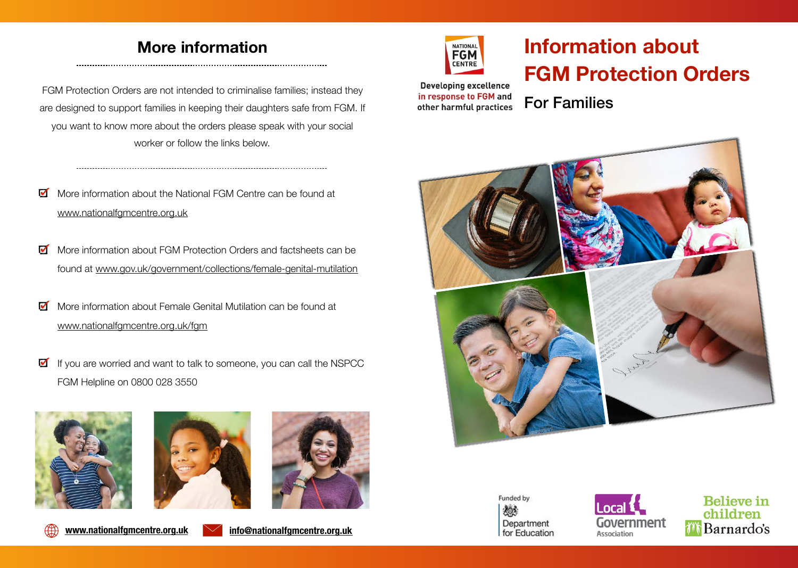# **Information about FGM Protection Orders**

**Developing excellence** in response to FGM and other harmful practices

For Families









## **More information**

FGM Protection Orders are not intended to criminalise families; instead they are designed to support families in keeping their daughters safe from FGM. If you want to know more about the orders please speak with your social worker or follow the links below.

- More information about the National FGM Centre can be found at M [www.nationalfgmcentre.org.uk](http://www.nationalfgmcentre.org.uk)
- More information about FGM Protection Orders and factsheets can be M found at [www.gov.uk/government/collections/female-genital-mutilation](http://www.gov.uk/government/collections/female-genital-mutilation)
- More information about Female Genital Mutilation can be found at  $\blacksquare$ [www.nationalfgmcentre.org.uk/fgm](http://www.nationalfgmcentre.org.uk/fgm)
- $\blacksquare$  If you are worried and want to talk to someone, you can call the NSPCC FGM Helpline on 0800 028 3550











**[www.nationalfgmcentre.org.uk](http://www.nationalfgmcentre.org.uk) [info@nationalfgmcentre.org.uk](mailto:info@nationalfgmcentre.org.uk)**